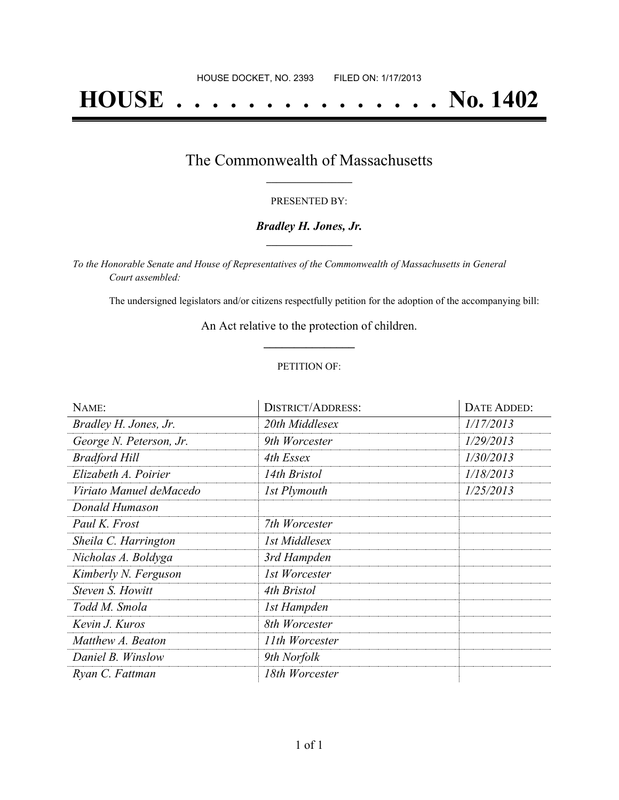# **HOUSE . . . . . . . . . . . . . . . No. 1402**

## The Commonwealth of Massachusetts **\_\_\_\_\_\_\_\_\_\_\_\_\_\_\_\_\_**

#### PRESENTED BY:

#### *Bradley H. Jones, Jr.* **\_\_\_\_\_\_\_\_\_\_\_\_\_\_\_\_\_**

*To the Honorable Senate and House of Representatives of the Commonwealth of Massachusetts in General Court assembled:*

The undersigned legislators and/or citizens respectfully petition for the adoption of the accompanying bill:

An Act relative to the protection of children. **\_\_\_\_\_\_\_\_\_\_\_\_\_\_\_**

#### PETITION OF:

| NAME:                   | <b>DISTRICT/ADDRESS:</b> | DATE ADDED: |
|-------------------------|--------------------------|-------------|
| Bradley H. Jones, Jr.   | 20th Middlesex           | 1/17/2013   |
| George N. Peterson, Jr. | 9th Worcester            | 1/29/2013   |
| <b>Bradford Hill</b>    | 4th Essex                | 1/30/2013   |
| Elizabeth A. Poirier    | 14th Bristol             | 1/18/2013   |
| Viriato Manuel deMacedo | 1st Plymouth             | 1/25/2013   |
| Donald Humason          |                          |             |
| Paul K. Frost           | 7th Worcester            |             |
| Sheila C. Harrington    | 1st Middlesex            |             |
| Nicholas A. Boldyga     | 3rd Hampden              |             |
| Kimberly N. Ferguson    | 1st Worcester            |             |
| Steven S. Howitt        | 4th Bristol              |             |
| Todd M. Smola           | 1st Hampden              |             |
| Kevin J. Kuros          | 8th Worcester            |             |
| Matthew A. Beaton       | 11th Worcester           |             |
| Daniel B. Winslow       | 9th Norfolk              |             |
| Ryan C. Fattman         | 18th Worcester           |             |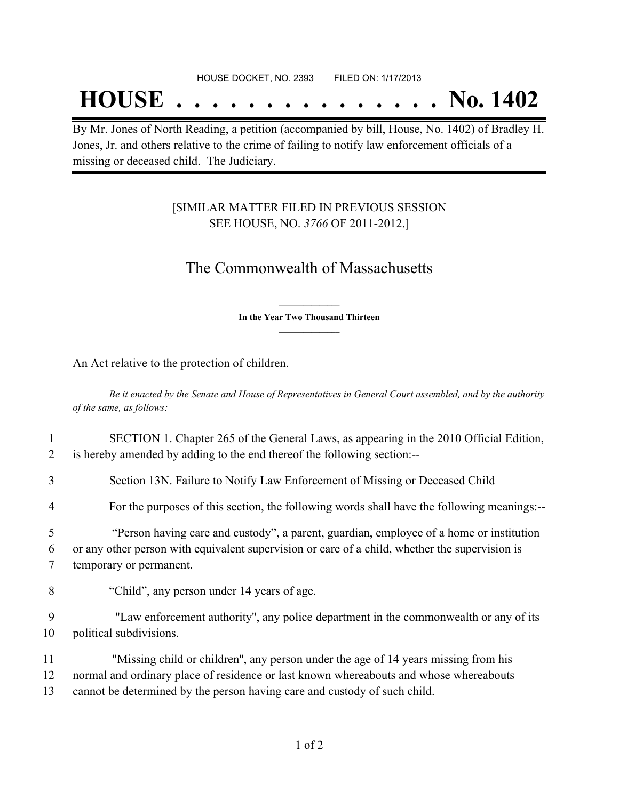## **HOUSE . . . . . . . . . . . . . . . No. 1402**

By Mr. Jones of North Reading, a petition (accompanied by bill, House, No. 1402) of Bradley H. Jones, Jr. and others relative to the crime of failing to notify law enforcement officials of a missing or deceased child. The Judiciary.

### [SIMILAR MATTER FILED IN PREVIOUS SESSION SEE HOUSE, NO. *3766* OF 2011-2012.]

## The Commonwealth of Massachusetts

**\_\_\_\_\_\_\_\_\_\_\_\_\_\_\_ In the Year Two Thousand Thirteen \_\_\_\_\_\_\_\_\_\_\_\_\_\_\_**

An Act relative to the protection of children.

Be it enacted by the Senate and House of Representatives in General Court assembled, and by the authority *of the same, as follows:*

| 2           | SECTION 1. Chapter 265 of the General Laws, as appearing in the 2010 Official Edition,<br>is hereby amended by adding to the end thereof the following section:--                                                    |
|-------------|----------------------------------------------------------------------------------------------------------------------------------------------------------------------------------------------------------------------|
| 3           | Section 13N. Failure to Notify Law Enforcement of Missing or Deceased Child                                                                                                                                          |
| 4           | For the purposes of this section, the following words shall have the following meanings:--                                                                                                                           |
| 5<br>6<br>7 | "Person having care and custody", a parent, guardian, employee of a home or institution<br>or any other person with equivalent supervision or care of a child, whether the supervision is<br>temporary or permanent. |
| 8           | "Child", any person under 14 years of age.                                                                                                                                                                           |
| 9<br>10     | "Law enforcement authority", any police department in the commonwealth or any of its<br>political subdivisions.                                                                                                      |
| 11<br>12    | "Missing child or children", any person under the age of 14 years missing from his<br>normal and ordinary place of residence or last known whereabouts and whose whereabouts                                         |